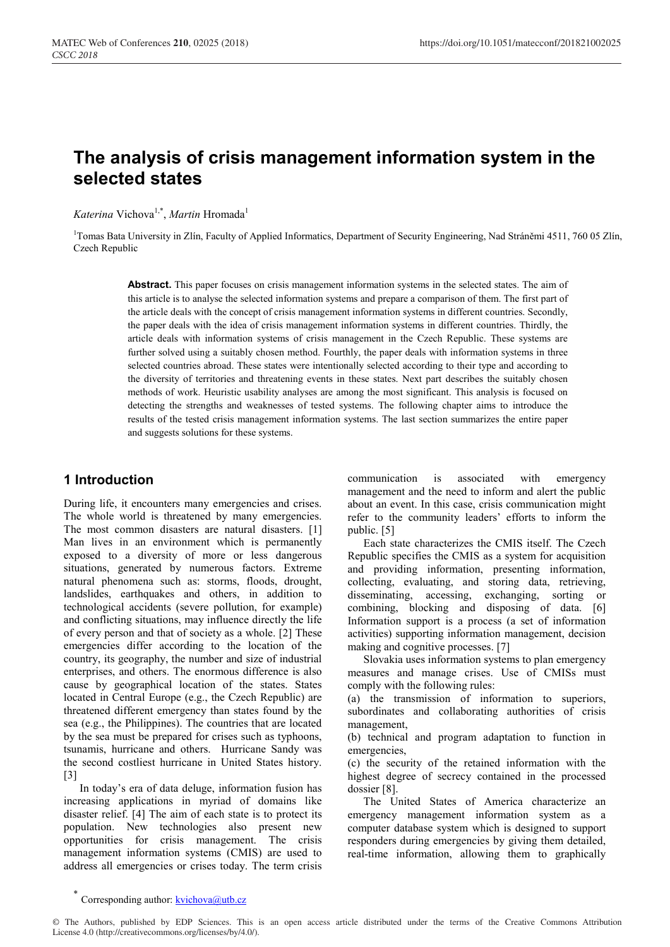# **The analysis of crisis management information system in the selected states**

*Katerina* Vichova<sup>1,\*</sup>, *Martin* Hromada<sup>1</sup>

1 Tomas Bata University in Zlín, Faculty of Applied Informatics, Department of Security Engineering, Nad Stráněmi 4511, 760 05 Zlín, Czech Republic

Abstract. This paper focuses on crisis management information systems in the selected states. The aim of this article is to analyse the selected information systems and prepare a comparison of them. The first part of the article deals with the concept of crisis management information systems in different countries. Secondly, the paper deals with the idea of crisis management information systems in different countries. Thirdly, the article deals with information systems of crisis management in the Czech Republic. These systems are further solved using a suitably chosen method. Fourthly, the paper deals with information systems in three selected countries abroad. These states were intentionally selected according to their type and according to the diversity of territories and threatening events in these states. Next part describes the suitably chosen methods of work. Heuristic usability analyses are among the most significant. This analysis is focused on detecting the strengths and weaknesses of tested systems. The following chapter aims to introduce the results of the tested crisis management information systems. The last section summarizes the entire paper and suggests solutions for these systems.

### **1 Introduction**

During life, it encounters many emergencies and crises. The whole world is threatened by many emergencies. The most common disasters are natural disasters. [1] Man lives in an environment which is permanently exposed to a diversity of more or less dangerous situations, generated by numerous factors. Extreme natural phenomena such as: storms, floods, drought, landslides, earthquakes and others, in addition to technological accidents (severe pollution, for example) and conflicting situations, may influence directly the life of every person and that of society as a whole. [2] These emergencies differ according to the location of the country, its geography, the number and size of industrial enterprises, and others. The enormous difference is also cause by geographical location of the states. States located in Central Europe (e.g., the Czech Republic) are threatened different emergency than states found by the sea (e.g., the Philippines). The countries that are located by the sea must be prepared for crises such as typhoons, tsunamis, hurricane and others. Hurricane Sandy was the second costliest hurricane in United States history.  $|3|$ 

In today's era of data deluge, information fusion has increasing applications in myriad of domains like disaster relief. [4] The aim of each state is to protect its population. New technologies also present new opportunities for crisis management. The crisis management information systems (CMIS) are used to address all emergencies or crises today. The term crisis

communication is associated with emergency management and the need to inform and alert the public about an event. In this case, crisis communication might refer to the community leaders' efforts to inform the public. [5]

Each state characterizes the CMIS itself. The Czech Republic specifies the CMIS as a system for acquisition and providing information, presenting information, collecting, evaluating, and storing data, retrieving, disseminating, accessing, exchanging, sorting or combining, blocking and disposing of data. [6] Information support is a process (a set of information activities) supporting information management, decision making and cognitive processes. [7]

Slovakia uses information systems to plan emergency measures and manage crises. Use of CMISs must comply with the following rules:

(a) the transmission of information to superiors, subordinates and collaborating authorities of crisis management,

(b) technical and program adaptation to function in emergencies,

(c) the security of the retained information with the highest degree of secrecy contained in the processed dossier [8].

The United States of America characterize an emergency management information system as a computer database system which is designed to support responders during emergencies by giving them detailed, real-time information, allowing them to graphically

© The Authors, published by EDP Sciences. This is an open access article distributed under the terms of the Creative Commons Attribution License 4.0 (http://creativecommons.org/licenses/by/4.0/).

<sup>\*</sup> Corresponding author:  $k$ vichova@utb.cz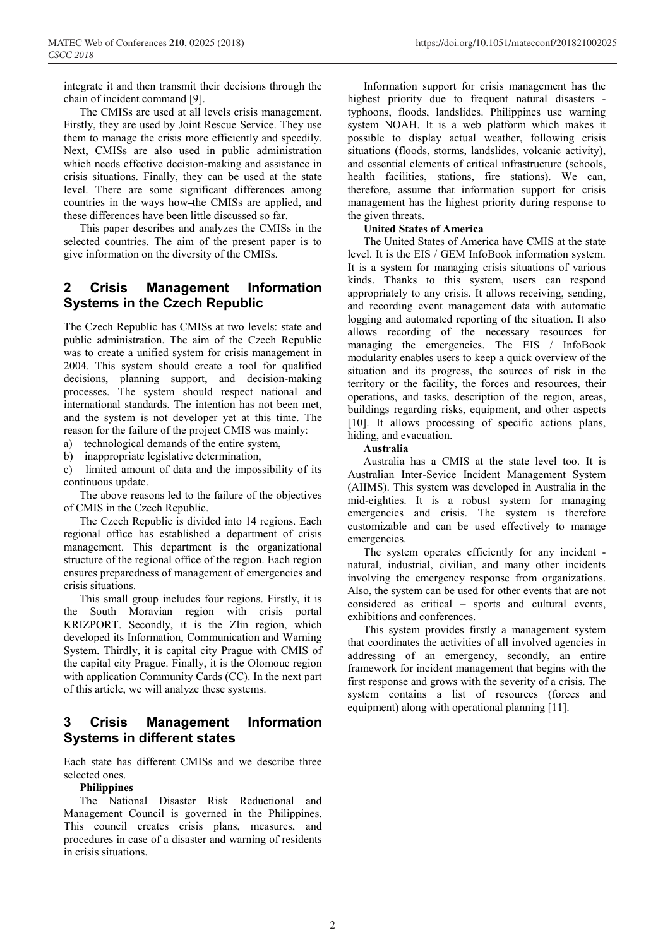integrate it and then transmit their decisions through the chain of incident command [9].

The CMISs are used at all levels crisis management. Firstly, they are used by Joint Rescue Service. They use them to manage the crisis more efficiently and speedily. Next, CMISs are also used in public administration which needs effective decision-making and assistance in crisis situations. Finally, they can be used at the state level. There are some significant differences among countries in the ways how the CMISs are applied, and these differences have been little discussed so far.

This paper describes and analyzes the CMISs in the selected countries. The aim of the present paper is to give information on the diversity of the CMISs.

### **2 Crisis Management Information Systems in the Czech Republic**

The Czech Republic has CMISs at two levels: state and public administration. The aim of the Czech Republic was to create a unified system for crisis management in 2004. This system should create a tool for qualified decisions, planning support, and decision-making processes. The system should respect national and international standards. The intention has not been met, and the system is not developer yet at this time. The reason for the failure of the project CMIS was mainly:

a) technological demands of the entire system,

b) inappropriate legislative determination,

c) limited amount of data and the impossibility of its continuous update.

The above reasons led to the failure of the objectives of CMIS in the Czech Republic.

The Czech Republic is divided into 14 regions. Each regional office has established a department of crisis management. This department is the organizational structure of the regional office of the region. Each region ensures preparedness of management of emergencies and crisis situations.

This small group includes four regions. Firstly, it is the South Moravian region with crisis portal KRIZPORT. Secondly, it is the Zlin region, which developed its Information, Communication and Warning System. Thirdly, it is capital city Prague with CMIS of the capital city Prague. Finally, it is the Olomouc region with application Community Cards (CC). In the next part of this article, we will analyze these systems.

# **3 Crisis Management Information Systems in different states**

Each state has different CMISs and we describe three selected ones.

#### **Philippines**

The National Disaster Risk Reductional and Management Council is governed in the Philippines. This council creates crisis plans, measures, and procedures in case of a disaster and warning of residents in crisis situations.

Information support for crisis management has the highest priority due to frequent natural disasters typhoons, floods, landslides. Philippines use warning system NOAH. It is a web platform which makes it possible to display actual weather, following crisis situations (floods, storms, landslides, volcanic activity), and essential elements of critical infrastructure (schools, health facilities, stations, fire stations). We can, therefore, assume that information support for crisis management has the highest priority during response to the given threats.

#### **United States of America**

The United States of America have CMIS at the state level. It is the EIS / GEM InfoBook information system. It is a system for managing crisis situations of various kinds. Thanks to this system, users can respond appropriately to any crisis. It allows receiving, sending, and recording event management data with automatic logging and automated reporting of the situation. It also allows recording of the necessary resources for managing the emergencies. The EIS / InfoBook modularity enables users to keep a quick overview of the situation and its progress, the sources of risk in the territory or the facility, the forces and resources, their operations, and tasks, description of the region, areas, buildings regarding risks, equipment, and other aspects [10]. It allows processing of specific actions plans, hiding, and evacuation.

#### **Australia**

Australia has a CMIS at the state level too. It is Australian Inter-Sevice Incident Management System (AIIMS). This system was developed in Australia in the mid-eighties. It is a robust system for managing emergencies and crisis. The system is therefore customizable and can be used effectively to manage emergencies.

The system operates efficiently for any incident natural, industrial, civilian, and many other incidents involving the emergency response from organizations. Also, the system can be used for other events that are not considered as critical – sports and cultural events, exhibitions and conferences.

This system provides firstly a management system that coordinates the activities of all involved agencies in addressing of an emergency, secondly, an entire framework for incident management that begins with the first response and grows with the severity of a crisis. The system contains a list of resources (forces and equipment) along with operational planning [11].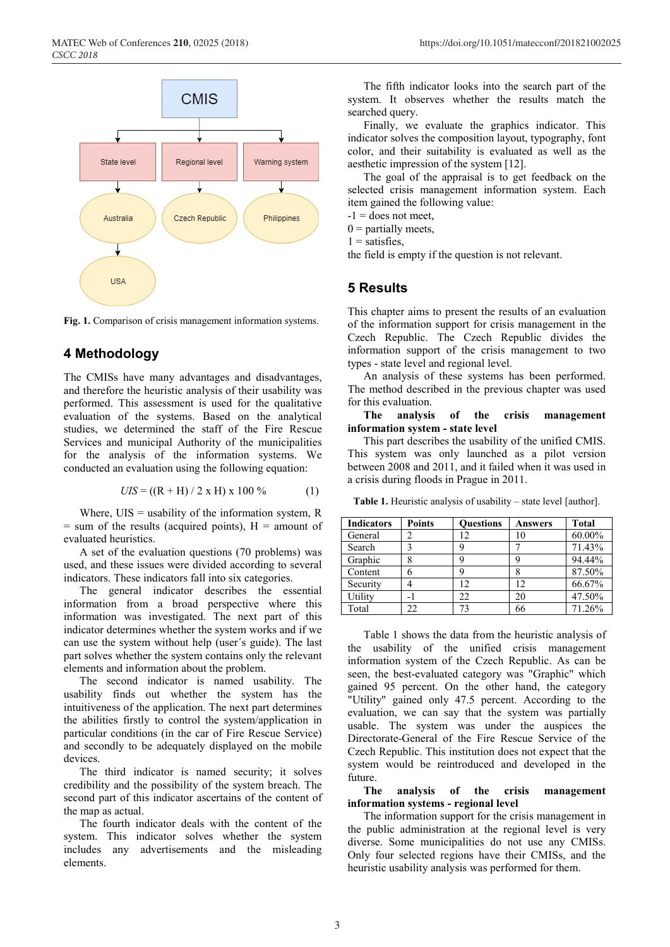

**Fig. 1.** Comparison of crisis management information systems.

# **4 Methodology**

The CMISs have many advantages and disadvantages, and therefore the heuristic analysis of their usability was performed. This assessment is used for the qualitative evaluation of the systems. Based on the analytical studies, we determined the staff of the Fire Rescue Services and municipal Authority of the municipalities for the analysis of the information systems. We conducted an evaluation using the following equation:

$$
UIS = ((R + H) / 2 \times H) \times 100\% \tag{1}
$$

Where,  $UIS =$  usability of the information system,  $R$  $=$  sum of the results (acquired points),  $H =$  amount of evaluated heuristics.

A set of the evaluation questions (70 problems) was used, and these issues were divided according to several indicators. These indicators fall into six categories.

The general indicator describes the essential information from a broad perspective where this information was investigated. The next part of this indicator determines whether the system works and if we can use the system without help (user´s guide). The last part solves whether the system contains only the relevant elements and information about the problem.

The second indicator is named usability. The usability finds out whether the system has the intuitiveness of the application. The next part determines the abilities firstly to control the system/application in particular conditions (in the car of Fire Rescue Service) and secondly to be adequately displayed on the mobile devices.

The third indicator is named security; it solves credibility and the possibility of the system breach. The second part of this indicator ascertains of the content of the map as actual.

The fourth indicator deals with the content of the system. This indicator solves whether the system includes any advertisements and the misleading elements.

The fifth indicator looks into the search part of the system. It observes whether the results match the searched query.

Finally, we evaluate the graphics indicator. This indicator solves the composition layout, typography, font color, and their suitability is evaluated as well as the aesthetic impression of the system [12].

The goal of the appraisal is to get feedback on the selected crisis management information system. Each item gained the following value:

 $-1$  = does not meet,

 $0$  = partially meets,

 $1$  = satisfies,

the field is empty if the question is not relevant.

### **5 Results**

This chapter aims to present the results of an evaluation of the information support for crisis management in the Czech Republic. The Czech Republic divides the information support of the crisis management to two types - state level and regional level.

An analysis of these systems has been performed. The method described in the previous chapter was used for this evaluation.

#### **The analysis of the crisis management information system - state level**

This part describes the usability of the unified CMIS. This system was only launched as a pilot version between 2008 and 2011, and it failed when it was used in a crisis during floods in Prague in 2011.

**Table 1.** Heuristic analysis of usability – state level [author].

| <b>Indicators</b> | <b>Points</b> | <b>Ouestions</b> | Answers | <b>Total</b> |
|-------------------|---------------|------------------|---------|--------------|
| General           |               | 12               |         | 60.00%       |
| Search            |               |                  |         | 71.43%       |
| Graphic           |               |                  |         | 94.44%       |
| Content           |               |                  |         | 87.50%       |
| Security          |               | 12.              | 12      | 66.67%       |
| Utility           |               | 22               | 20      | 47.50%       |
| Total             | 22            | 73               |         | 71.26%       |

Table 1 shows the data from the heuristic analysis of the usability of the unified crisis management information system of the Czech Republic. As can be seen, the best-evaluated category was "Graphic" which gained 95 percent. On the other hand, the category "Utility" gained only 47.5 percent. According to the evaluation, we can say that the system was partially usable. The system was under the auspices the Directorate-General of the Fire Rescue Service of the Czech Republic. This institution does not expect that the system would be reintroduced and developed in the future.

#### **The analysis of the crisis management information systems - regional level**

The information support for the crisis management in the public administration at the regional level is very diverse. Some municipalities do not use any CMISs. Only four selected regions have their CMISs, and the heuristic usability analysis was performed for them.